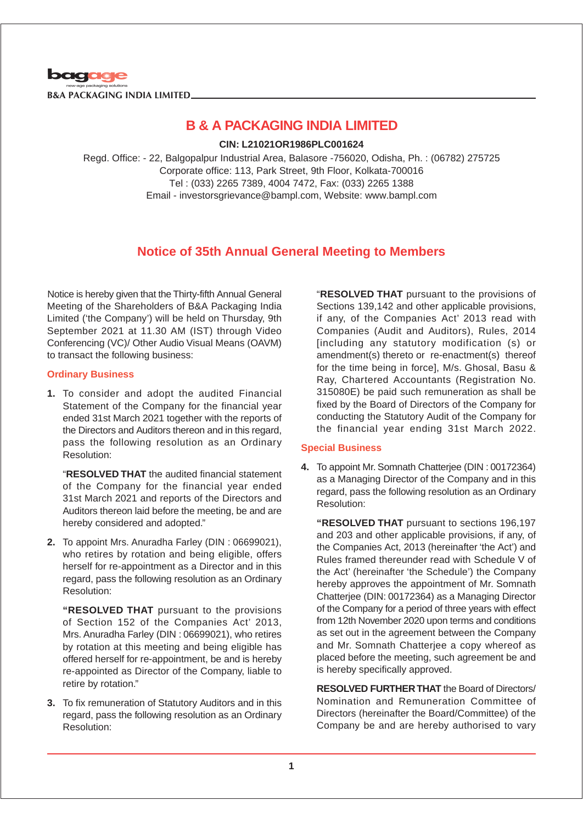

**CIN: L21021OR1986PLC001624**

Regd. Office: - 22, Balgopalpur Industrial Area, Balasore -756020, Odisha, Ph. : (06782) 275725 Corporate office: 113, Park Street, 9th Floor, Kolkata-700016 Tel : (033) 2265 7389, 4004 7472, Fax: (033) 2265 1388 Email - investorsgrievance@bampl.com, Website: www.bampl.com

## **Notice of 35th Annual General Meeting to Members**

Notice is hereby given that the Thirty-fifth Annual General Meeting of the Shareholders of B&A Packaging India Limited ('the Company') will be held on Thursday, 9th September 2021 at 11.30 AM (IST) through Video Conferencing (VC)/ Other Audio Visual Means (OAVM) to transact the following business:

## **Ordinary Business**

**1.** To consider and adopt the audited Financial Statement of the Company for the financial year ended 31st March 2021 together with the reports of the Directors and Auditors thereon and in this regard, pass the following resolution as an Ordinary Resolution:

"**RESOLVED THAT** the audited financial statement of the Company for the financial year ended 31st March 2021 and reports of the Directors and Auditors thereon laid before the meeting, be and are hereby considered and adopted."

**2.** To appoint Mrs. Anuradha Farley (DIN : 06699021), who retires by rotation and being eligible, offers herself for re-appointment as a Director and in this regard, pass the following resolution as an Ordinary Resolution:

**"RESOLVED THAT** pursuant to the provisions of Section 152 of the Companies Act' 2013, Mrs. Anuradha Farley (DIN : 06699021), who retires by rotation at this meeting and being eligible has offered herself for re-appointment, be and is hereby re-appointed as Director of the Company, liable to retire by rotation."

**3.** To fix remuneration of Statutory Auditors and in this regard, pass the following resolution as an Ordinary Resolution:

"**RESOLVED THAT** pursuant to the provisions of Sections 139,142 and other applicable provisions, if any, of the Companies Act' 2013 read with Companies (Audit and Auditors), Rules, 2014 [including any statutory modification (s) or amendment(s) thereto or re-enactment(s) thereof for the time being in force], M/s. Ghosal, Basu & Ray, Chartered Accountants (Registration No. 315080E) be paid such remuneration as shall be fixed by the Board of Directors of the Company for conducting the Statutory Audit of the Company for the financial year ending 31st March 2022.

## **Special Business**

**4.** To appoint Mr. Somnath Chatterjee (DIN : 00172364) as a Managing Director of the Company and in this regard, pass the following resolution as an Ordinary Resolution:

**"RESOLVED THAT** pursuant to sections 196,197 and 203 and other applicable provisions, if any, of the Companies Act, 2013 (hereinafter 'the Act') and Rules framed thereunder read with Schedule V of the Act' (hereinafter 'the Schedule') the Company hereby approves the appointment of Mr. Somnath Chatterjee (DIN: 00172364) as a Managing Director of the Company for a period of three years with effect from 12th November 2020 upon terms and conditions as set out in the agreement between the Company and Mr. Somnath Chatterjee a copy whereof as placed before the meeting, such agreement be and is hereby specifically approved.

**RESOLVED FURTHER THAT** the Board of Directors/ Nomination and Remuneration Committee of Directors (hereinafter the Board/Committee) of the Company be and are hereby authorised to vary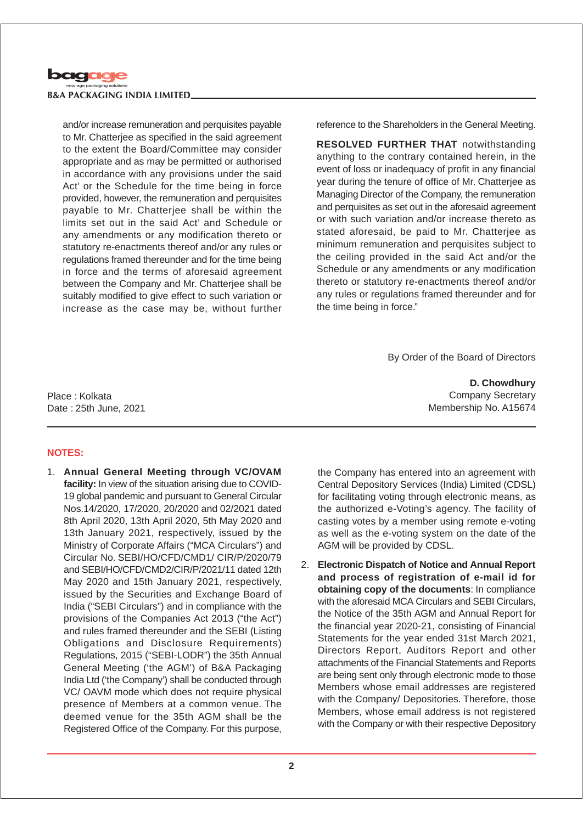

and/or increase remuneration and perquisites payable to Mr. Chatterjee as specified in the said agreement to the extent the Board/Committee may consider appropriate and as may be permitted or authorised in accordance with any provisions under the said Act' or the Schedule for the time being in force provided, however, the remuneration and perquisites payable to Mr. Chatterjee shall be within the limits set out in the said Act' and Schedule or any amendments or any modification thereto or statutory re-enactments thereof and/or any rules or regulations framed thereunder and for the time being in force and the terms of aforesaid agreement between the Company and Mr. Chatterjee shall be suitably modified to give effect to such variation or increase as the case may be, without further reference to the Shareholders in the General Meeting.

**RESOLVED FURTHER THAT** notwithstanding anything to the contrary contained herein, in the event of loss or inadequacy of profit in any financial year during the tenure of office of Mr. Chatterjee as Managing Director of the Company, the remuneration and perquisites as set out in the aforesaid agreement or with such variation and/or increase thereto as stated aforesaid, be paid to Mr. Chatterjee as minimum remuneration and perquisites subject to the ceiling provided in the said Act and/or the Schedule or any amendments or any modification thereto or statutory re-enactments thereof and/or any rules or regulations framed thereunder and for the time being in force."

By Order of the Board of Directors

**D. Chowdhury** Company Secretary Membership No. A15674

Place : Kolkata Date : 25th June, 2021

#### **NOTES:**

1. **Annual General Meeting through VC/OVAM facility:** In view of the situation arising due to COVID-19 global pandemic and pursuant to General Circular Nos.14/2020, 17/2020, 20/2020 and 02/2021 dated 8th April 2020, 13th April 2020, 5th May 2020 and 13th January 2021, respectively, issued by the Ministry of Corporate Affairs ("MCA Circulars") and Circular No. SEBI/HO/CFD/CMD1/ CIR/P/2020/79 and SEBI/HO/CFD/CMD2/CIR/P/2021/11 dated 12th May 2020 and 15th January 2021, respectively, issued by the Securities and Exchange Board of India ("SEBI Circulars") and in compliance with the provisions of the Companies Act 2013 ("the Act") and rules framed thereunder and the SEBI (Listing Obligations and Disclosure Requirements) Regulations, 2015 ("SEBI-LODR") the 35th Annual General Meeting ('the AGM') of B&A Packaging India Ltd ('the Company') shall be conducted through VC/ OAVM mode which does not require physical presence of Members at a common venue. The deemed venue for the 35th AGM shall be the Registered Office of the Company. For this purpose,

the Company has entered into an agreement with Central Depository Services (India) Limited (CDSL) for facilitating voting through electronic means, as the authorized e-Voting's agency. The facility of casting votes by a member using remote e-voting as well as the e-voting system on the date of the AGM will be provided by CDSL.

2. **Electronic Dispatch of Notice and Annual Report and process of registration of e-mail id for obtaining copy of the documents**: In compliance with the aforesaid MCA Circulars and SEBI Circulars, the Notice of the 35th AGM and Annual Report for the financial year 2020-21, consisting of Financial Statements for the year ended 31st March 2021, Directors Report, Auditors Report and other attachments of the Financial Statements and Reports are being sent only through electronic mode to those Members whose email addresses are registered with the Company/ Depositories. Therefore, those Members, whose email address is not registered with the Company or with their respective Depository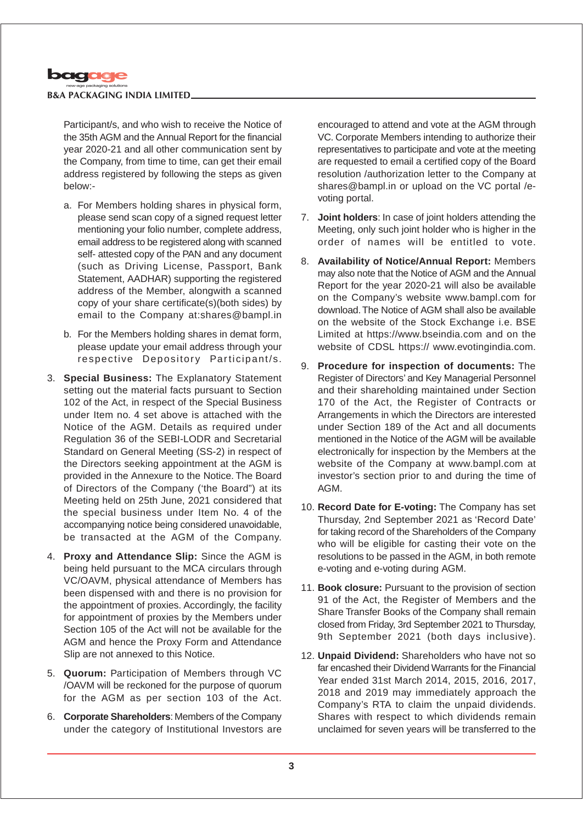

Participant/s, and who wish to receive the Notice of the 35th AGM and the Annual Report for the financial year 2020-21 and all other communication sent by the Company, from time to time, can get their email address registered by following the steps as given below:-

- a. For Members holding shares in physical form, please send scan copy of a signed request letter mentioning your folio number, complete address, email address to be registered along with scanned self- attested copy of the PAN and any document (such as Driving License, Passport, Bank Statement, AADHAR) supporting the registered address of the Member, alongwith a scanned copy of your share certificate(s)(both sides) by email to the Company at:shares@bampl.in
- b. For the Members holding shares in demat form, please update your email address through your respective Depository Participant/s.
- 3. **Special Business:** The Explanatory Statement setting out the material facts pursuant to Section 102 of the Act, in respect of the Special Business under Item no. 4 set above is attached with the Notice of the AGM. Details as required under Regulation 36 of the SEBI-LODR and Secretarial Standard on General Meeting (SS-2) in respect of the Directors seeking appointment at the AGM is provided in the Annexure to the Notice. The Board of Directors of the Company ('the Board") at its Meeting held on 25th June, 2021 considered that the special business under Item No. 4 of the accompanying notice being considered unavoidable, be transacted at the AGM of the Company.
- 4. **Proxy and Attendance Slip:** Since the AGM is being held pursuant to the MCA circulars through VC/OAVM, physical attendance of Members has been dispensed with and there is no provision for the appointment of proxies. Accordingly, the facility for appointment of proxies by the Members under Section 105 of the Act will not be available for the AGM and hence the Proxy Form and Attendance Slip are not annexed to this Notice.
- 5. **Quorum:** Participation of Members through VC /OAVM will be reckoned for the purpose of quorum for the AGM as per section 103 of the Act.
- 6. **Corporate Shareholders**: Members of the Company under the category of Institutional Investors are

encouraged to attend and vote at the AGM through VC. Corporate Members intending to authorize their representatives to participate and vote at the meeting are requested to email a certified copy of the Board resolution /authorization letter to the Company at shares@bampl.in or upload on the VC portal /evoting portal.

- 7. **Joint holders**: In case of joint holders attending the Meeting, only such joint holder who is higher in the order of names will be entitled to vote.
- 8. **Availability of Notice/Annual Report:** Members may also note that the Notice of AGM and the Annual Report for the year 2020-21 will also be available on the Company's website www.bampl.com for download. The Notice of AGM shall also be available on the website of the Stock Exchange i.e. BSE Limited at https://www.bseindia.com and on the website of CDSL https:// www.evotingindia.com.
- 9. **Procedure for inspection of documents:** The Register of Directors' and Key Managerial Personnel and their shareholding maintained under Section 170 of the Act, the Register of Contracts or Arrangements in which the Directors are interested under Section 189 of the Act and all documents mentioned in the Notice of the AGM will be available electronically for inspection by the Members at the website of the Company at www.bampl.com at investor's section prior to and during the time of AGM.
- 10. **Record Date for E-voting:** The Company has set Thursday, 2nd September 2021 as 'Record Date' for taking record of the Shareholders of the Company who will be eligible for casting their vote on the resolutions to be passed in the AGM, in both remote e-voting and e-voting during AGM.
- 11. **Book closure:** Pursuant to the provision of section 91 of the Act, the Register of Members and the Share Transfer Books of the Company shall remain closed from Friday, 3rd September 2021 to Thursday, 9th September 2021 (both days inclusive).
- 12. **Unpaid Dividend:** Shareholders who have not so far encashed their Dividend Warrants for the Financial Year ended 31st March 2014, 2015, 2016, 2017, 2018 and 2019 may immediately approach the Company's RTA to claim the unpaid dividends. Shares with respect to which dividends remain unclaimed for seven years will be transferred to the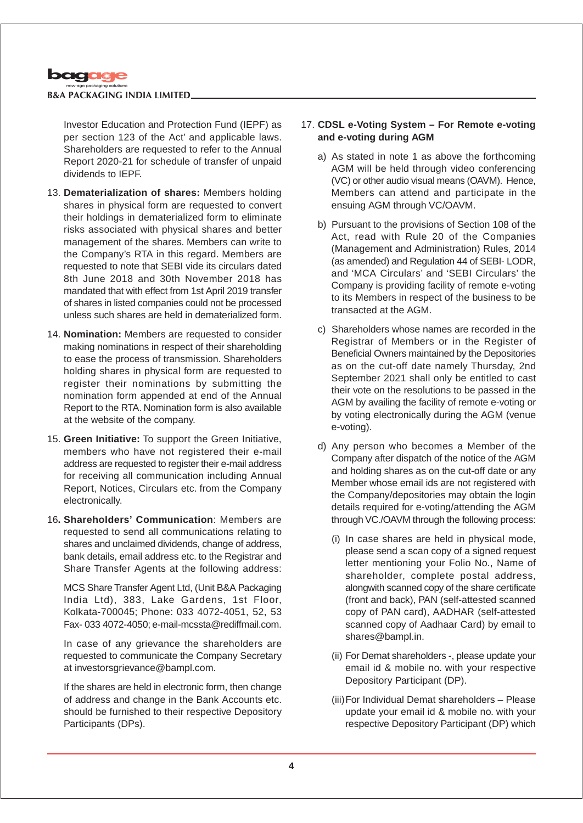

Investor Education and Protection Fund (IEPF) as per section 123 of the Act' and applicable laws. Shareholders are requested to refer to the Annual Report 2020-21 for schedule of transfer of unpaid dividends to IEPF.

- 13. **Dematerialization of shares:** Members holding shares in physical form are requested to convert their holdings in dematerialized form to eliminate risks associated with physical shares and better management of the shares. Members can write to the Company's RTA in this regard. Members are requested to note that SEBI vide its circulars dated 8th June 2018 and 30th November 2018 has mandated that with effect from 1st April 2019 transfer of shares in listed companies could not be processed unless such shares are held in dematerialized form.
- 14. **Nomination:** Members are requested to consider making nominations in respect of their shareholding to ease the process of transmission. Shareholders holding shares in physical form are requested to register their nominations by submitting the nomination form appended at end of the Annual Report to the RTA. Nomination form is also available at the website of the company.
- 15. **Green Initiative:** To support the Green Initiative, members who have not registered their e-mail address are requested to register their e-mail address for receiving all communication including Annual Report, Notices, Circulars etc. from the Company electronically.
- 16**. Shareholders' Communication**: Members are requested to send all communications relating to shares and unclaimed dividends, change of address, bank details, email address etc. to the Registrar and Share Transfer Agents at the following address:

MCS Share Transfer Agent Ltd, (Unit B&A Packaging India Ltd), 383, Lake Gardens, 1st Floor, Kolkata-700045; Phone: 033 4072-4051, 52, 53 Fax- 033 4072-4050; e-mail-mcssta@rediffmail.com.

In case of any grievance the shareholders are requested to communicate the Company Secretary at investorsgrievance@bampl.com.

If the shares are held in electronic form, then change of address and change in the Bank Accounts etc. should be furnished to their respective Depository Participants (DPs).

## 17. **CDSL e-Voting System – For Remote e-voting and e-voting during AGM**

- a) As stated in note 1 as above the forthcoming AGM will be held through video conferencing (VC) or other audio visual means (OAVM). Hence, Members can attend and participate in the ensuing AGM through VC/OAVM.
- b) Pursuant to the provisions of Section 108 of the Act, read with Rule 20 of the Companies (Management and Administration) Rules, 2014 (as amended) and Regulation 44 of SEBI- LODR, and 'MCA Circulars' and 'SEBI Circulars' the Company is providing facility of remote e-voting to its Members in respect of the business to be transacted at the AGM.
- c) Shareholders whose names are recorded in the Registrar of Members or in the Register of Beneficial Owners maintained by the Depositories as on the cut-off date namely Thursday, 2nd September 2021 shall only be entitled to cast their vote on the resolutions to be passed in the AGM by availing the facility of remote e-voting or by voting electronically during the AGM (venue e-voting).
- d) Any person who becomes a Member of the Company after dispatch of the notice of the AGM and holding shares as on the cut-off date or any Member whose email ids are not registered with the Company/depositories may obtain the login details required for e-voting/attending the AGM through VC./OAVM through the following process:
	- (i) In case shares are held in physical mode, please send a scan copy of a signed request letter mentioning your Folio No., Name of shareholder, complete postal address, alongwith scanned copy of the share certificate (front and back), PAN (self-attested scanned copy of PAN card), AADHAR (self-attested scanned copy of Aadhaar Card) by email to shares@bampl.in.
	- (ii) For Demat shareholders -, please update your email id & mobile no. with your respective Depository Participant (DP).
	- (iii)For Individual Demat shareholders Please update your email id & mobile no. with your respective Depository Participant (DP) which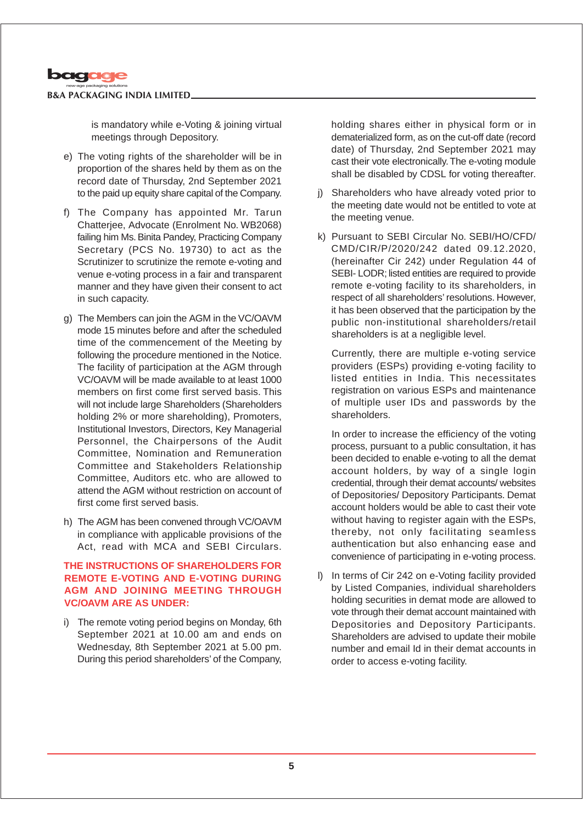

is mandatory while e-Voting & joining virtual meetings through Depository.

- e) The voting rights of the shareholder will be in proportion of the shares held by them as on the record date of Thursday, 2nd September 2021 to the paid up equity share capital of the Company.
- f) The Company has appointed Mr. Tarun Chatterjee, Advocate (Enrolment No. WB2068) failing him Ms. Binita Pandey, Practicing Company Secretary (PCS No. 19730) to act as the Scrutinizer to scrutinize the remote e-voting and venue e-voting process in a fair and transparent manner and they have given their consent to act in such capacity.
- g) The Members can join the AGM in the VC/OAVM mode 15 minutes before and after the scheduled time of the commencement of the Meeting by following the procedure mentioned in the Notice. The facility of participation at the AGM through VC/OAVM will be made available to at least 1000 members on first come first served basis. This will not include large Shareholders (Shareholders holding 2% or more shareholding), Promoters, Institutional Investors, Directors, Key Managerial Personnel, the Chairpersons of the Audit Committee, Nomination and Remuneration Committee and Stakeholders Relationship Committee, Auditors etc. who are allowed to attend the AGM without restriction on account of first come first served basis.
- h) The AGM has been convened through VC/OAVM in compliance with applicable provisions of the Act, read with MCA and SEBI Circulars.

## **THE INSTRUCTIONS OF SHAREHOLDERS FOR REMOTE E-VOTING AND E-VOTING DURING AGM AND JOINING MEETING THROUGH VC/OAVM ARE AS UNDER:**

i) The remote voting period begins on Monday, 6th September 2021 at 10.00 am and ends on Wednesday, 8th September 2021 at 5.00 pm. During this period shareholders' of the Company,

holding shares either in physical form or in dematerialized form, as on the cut-off date (record date) of Thursday, 2nd September 2021 may cast their vote electronically. The e-voting module shall be disabled by CDSL for voting thereafter.

- j) Shareholders who have already voted prior to the meeting date would not be entitled to vote at the meeting venue.
- k) Pursuant to SEBI Circular No. SEBI/HO/CFD/ CMD/CIR/P/2020/242 dated 09.12.2020, (hereinafter Cir 242) under Regulation 44 of SEBI- LODR; listed entities are required to provide remote e-voting facility to its shareholders, in respect of all shareholders' resolutions. However, it has been observed that the participation by the public non-institutional shareholders/retail shareholders is at a negligible level.

Currently, there are multiple e-voting service providers (ESPs) providing e-voting facility to listed entities in India. This necessitates registration on various ESPs and maintenance of multiple user IDs and passwords by the shareholders.

In order to increase the efficiency of the voting process, pursuant to a public consultation, it has been decided to enable e-voting to all the demat account holders, by way of a single login credential, through their demat accounts/ websites of Depositories/ Depository Participants. Demat account holders would be able to cast their vote without having to register again with the ESPs, thereby, not only facilitating seamless authentication but also enhancing ease and convenience of participating in e-voting process.

l) In terms of Cir 242 on e-Voting facility provided by Listed Companies, individual shareholders holding securities in demat mode are allowed to vote through their demat account maintained with Depositories and Depository Participants. Shareholders are advised to update their mobile number and email Id in their demat accounts in order to access e-voting facility.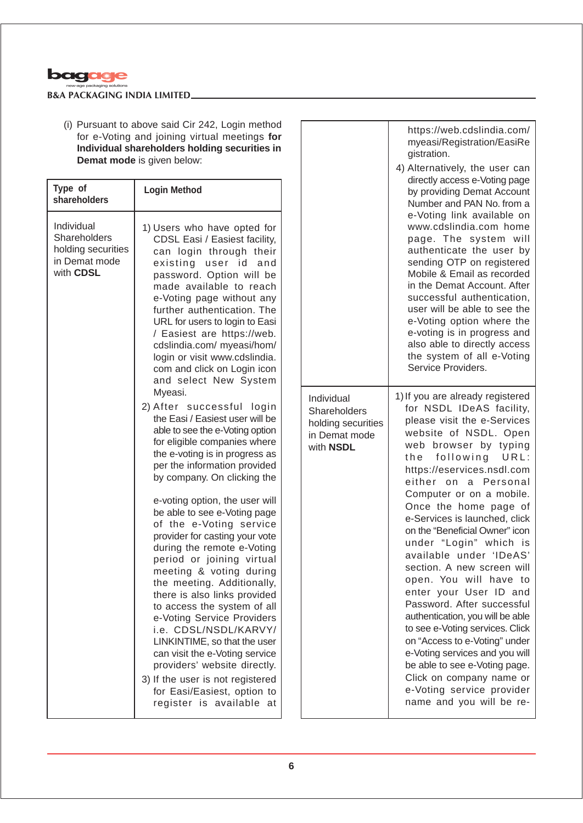

(i) Pursuant to above said Cir 242, Login method for e-Voting and joining virtual meetings **for Individual shareholders holding securities in Demat mode** is given below:

| Type of<br>shareholders                                                        | <b>Login Method</b>                                                                                                                                                                                                                                                                                                                                                                                                                                                     |                                           |
|--------------------------------------------------------------------------------|-------------------------------------------------------------------------------------------------------------------------------------------------------------------------------------------------------------------------------------------------------------------------------------------------------------------------------------------------------------------------------------------------------------------------------------------------------------------------|-------------------------------------------|
| Individual<br>Shareholders<br>holding securities<br>in Demat mode<br>with CDSL | 1) Users who have opted for<br>CDSL Easi / Easiest facility,<br>can login through their<br>existing user id<br>and<br>password. Option will be<br>made available to reach<br>e-Voting page without any<br>further authentication. The<br>URL for users to login to Easi<br>/ Easiest are https://web.<br>cdslindia.com/ myeasi/hom/<br>login or visit www.cdslindia.<br>com and click on Login icon<br>and select New System                                            |                                           |
|                                                                                | Myeasi.<br>2) After successful login<br>the Easi / Easiest user will be<br>able to see the e-Voting option<br>for eligible companies where<br>the e-voting is in progress as<br>per the information provided<br>by company. On clicking the                                                                                                                                                                                                                             | Indiv<br>Shar<br>holdi<br>in De<br>with I |
|                                                                                | e-voting option, the user will<br>be able to see e-Voting page<br>of the e-Voting service<br>provider for casting your vote<br>during the remote e-Voting<br>period or joining virtual<br>meeting & voting during<br>the meeting. Additionally,<br>there is also links provided<br>to access the system of all<br>e-Voting Service Providers<br>i.e. CDSL/NSDL/KARVY/<br>LINKINTIME, so that the user<br>can visit the e-Voting service<br>providers' website directly. |                                           |
|                                                                                | 3) If the user is not registered<br>for Easi/Easiest, option to<br>register is available<br>at                                                                                                                                                                                                                                                                                                                                                                          |                                           |

|                                                                | https://web.cdslindia.com/<br>myeasi/Registration/EasiRe<br>gistration.<br>4) Alternatively, the user can<br>directly access e-Voting page<br>by providing Demat Account<br>Number and PAN No. from a<br>e-Voting link available on<br>www.cdslindia.com home<br>page. The system will<br>authenticate the user by<br>sending OTP on registered<br>Mobile & Email as recorded<br>in the Demat Account. After<br>successful authentication,<br>user will be able to see the<br>e-Voting option where the<br>e-voting is in progress and<br>also able to directly access<br>the system of all e-Voting<br>Service Providers.                                                                                                                                                                   |
|----------------------------------------------------------------|----------------------------------------------------------------------------------------------------------------------------------------------------------------------------------------------------------------------------------------------------------------------------------------------------------------------------------------------------------------------------------------------------------------------------------------------------------------------------------------------------------------------------------------------------------------------------------------------------------------------------------------------------------------------------------------------------------------------------------------------------------------------------------------------|
| idual<br>eholders<br>ng securities<br>emat mode<br><b>NSDL</b> | 1) If you are already registered<br>for NSDL IDeAS facility,<br>please visit the e-Services<br>website of NSDL. Open<br>web browser by typing<br>following URL:<br>the<br>https://eservices.nsdl.com<br>either on a Personal<br>Computer or on a mobile.<br>Once the home page of<br>e-Services is launched, click<br>on the "Beneficial Owner" icon<br>under "Login" which is<br>available under 'IDeAS'<br>section. A new screen will<br>open. You will have<br>to<br>enter your User ID and<br>Password. After successful<br>authentication, you will be able<br>to see e-Voting services. Click<br>on "Access to e-Voting" under<br>e-Voting services and you will<br>be able to see e-Voting page.<br>Click on company name or<br>e-Voting service provider<br>name and you will be re- |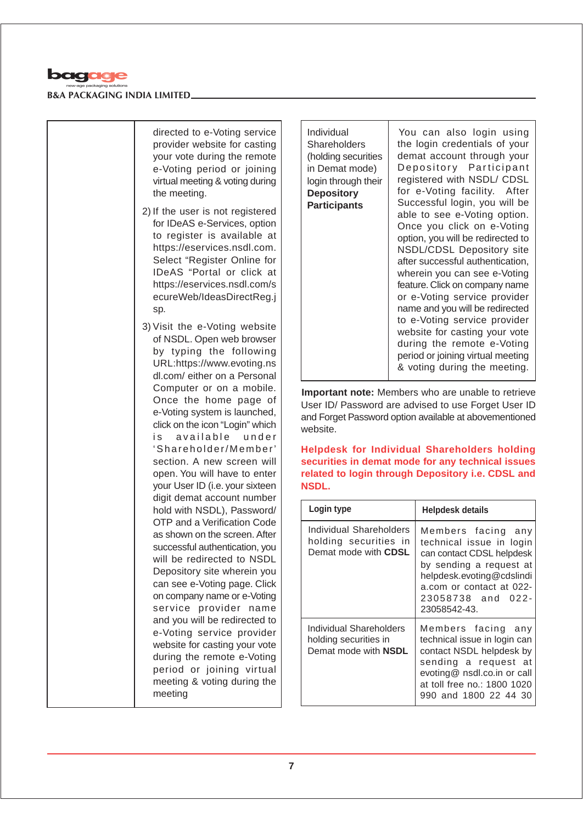

directed to e-Voting service provider website for casting your vote during the remote e-Voting period or joining virtual meeting & voting during the meeting.

2) If the user is not registered for IDeAS e-Services, option to register is available at https://eservices.nsdl.com. Select "Register Online for IDeAS "Portal or click at https://eservices.nsdl.com/s ecureWeb/IdeasDirectReg.j sp.

3) Visit the e-Voting website of NSDL. Open web browser by typing the following URL:https://www.evoting.ns dl.com/ either on a Personal Computer or on a mobile. Once the home page of e-Voting system is launched, click on the icon "Login" which is available under 'Shareholder/Member' section. A new screen will open. You will have to enter your User ID (i.e. your sixteen digit demat account number hold with NSDL), Password/ OTP and a Verification Code as shown on the screen. After successful authentication, you will be redirected to NSDL Depository site wherein you can see e-Voting page. Click on company name or e-Voting service provider name and you will be redirected to e-Voting service provider website for casting your vote during the remote e-Voting period or joining virtual meeting & voting during the meeting

Individual **Shareholders** (holding securities in Demat mode) login through their **Depository Participants**

You can also login using the login credentials of your demat account through your Depository Participant registered with NSDL/ CDSL for e-Voting facility. After Successful login, you will be able to see e-Voting option. Once you click on e-Voting option, you will be redirected to NSDL/CDSL Depository site after successful authentication, wherein you can see e-Voting feature. Click on company name or e-Voting service provider name and you will be redirected to e-Voting service provider website for casting your vote during the remote e-Voting period or joining virtual meeting & voting during the meeting.

**Important note:** Members who are unable to retrieve User ID/ Password are advised to use Forget User ID and Forget Password option available at abovementioned website.

**Helpdesk for Individual Shareholders holding securities in demat mode for any technical issues related to login through Depository i.e. CDSL and NSDL.**

| Login type                                                                      | <b>Helpdesk details</b>                                                                                                                                                                              |  |  |  |
|---------------------------------------------------------------------------------|------------------------------------------------------------------------------------------------------------------------------------------------------------------------------------------------------|--|--|--|
| Individual Shareholders<br>holding securities in<br>Demat mode with CDSL        | Members facing any<br>technical issue in login<br>can contact CDSL helpdesk<br>by sending a request at<br>helpdesk.evoting@cdslindi<br>a.com or contact at 022-<br>23058738 and 022-<br>23058542-43. |  |  |  |
| Individual Shareholders<br>holding securities in<br>Demat mode with <b>NSDL</b> | Members facing any<br>technical issue in login can<br>contact NSDL helpdesk by<br>sending a request at<br>evoting@ nsdl.co.in or call<br>at toll free no.: 1800 1020<br>990 and 1800 22 44 30        |  |  |  |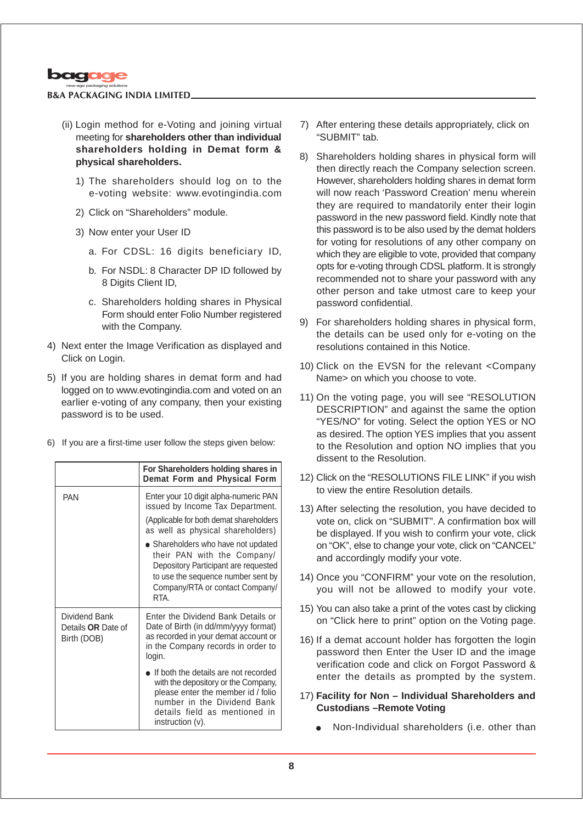

- (ii) Login method for e-Voting and joining virtual meeting for **shareholders other than individual shareholders holding in Demat form & physical shareholders.**
	- 1) The shareholders should log on to the e-voting website: www.evotingindia.com
	- 2) Click on "Shareholders" module.
	- 3) Now enter your User ID
		- a. For CDSL: 16 digits beneficiary ID,
		- b. For NSDL: 8 Character DP ID followed by 8 Digits Client ID,
		- c. Shareholders holding shares in Physical Form should enter Folio Number registered with the Company.
- 4) Next enter the Image Verification as displayed and Click on Login.
- 5) If you are holding shares in demat form and had logged on to www.evotingindia.com and voted on an earlier e-voting of any company, then your existing password is to be used.
- 6) If you are a first-time user follow the steps given below:

|                                                    | For Shareholders holding shares in<br>Demat Form and Physical Form                                                                                                                                    |
|----------------------------------------------------|-------------------------------------------------------------------------------------------------------------------------------------------------------------------------------------------------------|
| <b>PAN</b>                                         | Enter your 10 digit alpha-numeric PAN<br>issued by Income Tax Department.                                                                                                                             |
|                                                    | (Applicable for both demat shareholders)<br>as well as physical shareholders)                                                                                                                         |
|                                                    | • Shareholders who have not updated<br>their PAN with the Company/<br>Depository Participant are requested<br>to use the sequence number sent by<br>Company/RTA or contact Company/<br>RTA            |
| Dividend Bank<br>Details OR Date of<br>Birth (DOB) | Enter the Dividend Bank Details or<br>Date of Birth (in dd/mm/yyyy format)<br>as recorded in your demat account or<br>in the Company records in order to<br>login.                                    |
|                                                    | If both the details are not recorded<br>with the depository or the Company,<br>please enter the member id / folio<br>number in the Dividend Bank<br>details field as mentioned in<br>instruction (v). |

- 7) After entering these details appropriately, click on "SUBMIT" tab.
- 8) Shareholders holding shares in physical form will then directly reach the Company selection screen. However, shareholders holding shares in demat form will now reach 'Password Creation' menu wherein they are required to mandatorily enter their login password in the new password field. Kindly note that this password is to be also used by the demat holders for voting for resolutions of any other company on which they are eligible to vote, provided that company opts for e-voting through CDSL platform. It is strongly recommended not to share your password with any other person and take utmost care to keep your password confidential.
- 9) For shareholders holding shares in physical form, the details can be used only for e-voting on the resolutions contained in this Notice.
- 10) Click on the EVSN for the relevant <Company Name> on which you choose to vote.
- 11) On the voting page, you will see "RESOLUTION DESCRIPTION" and against the same the option "YES/NO" for voting. Select the option YES or NO as desired. The option YES implies that you assent to the Resolution and option NO implies that you dissent to the Resolution.
- 12) Click on the "RESOLUTIONS FILE LINK" if you wish to view the entire Resolution details.
- 13) After selecting the resolution, you have decided to vote on, click on "SUBMIT". A confirmation box will be displayed. If you wish to confirm your vote, click on "OK", else to change your vote, click on "CANCEL" and accordingly modify your vote.
- 14) Once you "CONFIRM" your vote on the resolution, you will not be allowed to modify your vote.
- 15) You can also take a print of the votes cast by clicking on "Click here to print" option on the Voting page.
- 16) If a demat account holder has forgotten the login password then Enter the User ID and the image verification code and click on Forgot Password & enter the details as prompted by the system.
- 17) **Facility for Non Individual Shareholders and Custodians –Remote Voting**
	- Non-Individual shareholders (i.e. other than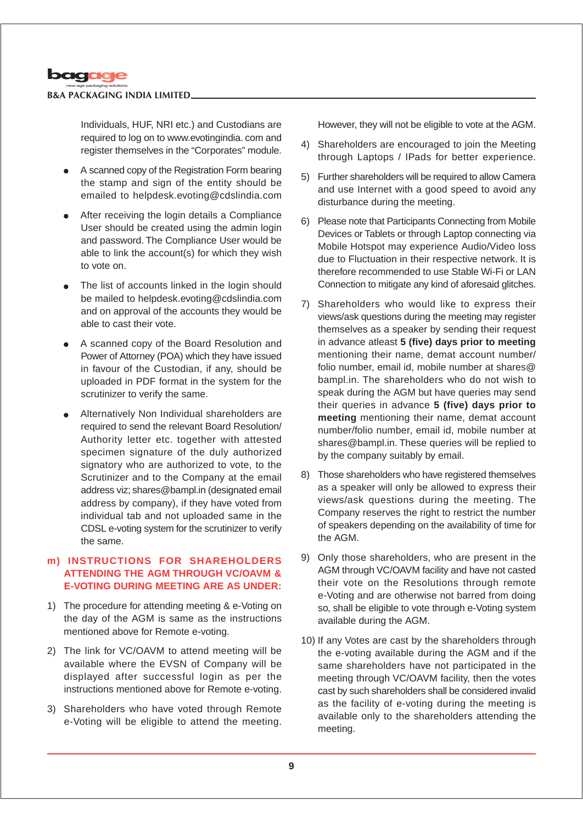

Individuals, HUF, NRI etc.) and Custodians are required to log on to www.evotingindia. com and register themselves in the "Corporates" module.

- A scanned copy of the Registration Form bearing the stamp and sign of the entity should be emailed to helpdesk.evoting@cdslindia.com
- After receiving the login details a Compliance User should be created using the admin login and password. The Compliance User would be able to link the account(s) for which they wish to vote on.
- The list of accounts linked in the login should be mailed to helpdesk.evoting@cdslindia.com and on approval of the accounts they would be able to cast their vote.
- A scanned copy of the Board Resolution and Power of Attorney (POA) which they have issued in favour of the Custodian, if any, should be uploaded in PDF format in the system for the scrutinizer to verify the same.
- Alternatively Non Individual shareholders are required to send the relevant Board Resolution/ Authority letter etc. together with attested specimen signature of the duly authorized signatory who are authorized to vote, to the Scrutinizer and to the Company at the email address viz; shares@bampl.in (designated email address by company), if they have voted from individual tab and not uploaded same in the CDSL e-voting system for the scrutinizer to verify the same.

## **m) INSTRUCTIONS FOR SHAREHOLDERS ATTENDING THE AGM THROUGH VC/OAVM & E-VOTING DURING MEETING ARE AS UNDER:**

- 1) The procedure for attending meeting & e-Voting on the day of the AGM is same as the instructions mentioned above for Remote e-voting.
- 2) The link for VC/OAVM to attend meeting will be available where the EVSN of Company will be displayed after successful login as per the instructions mentioned above for Remote e-voting.
- 3) Shareholders who have voted through Remote e-Voting will be eligible to attend the meeting.

However, they will not be eligible to vote at the AGM.

- 4) Shareholders are encouraged to join the Meeting through Laptops / IPads for better experience.
- 5) Further shareholders will be required to allow Camera and use Internet with a good speed to avoid any disturbance during the meeting.
- 6) Please note that Participants Connecting from Mobile Devices or Tablets or through Laptop connecting via Mobile Hotspot may experience Audio/Video loss due to Fluctuation in their respective network. It is therefore recommended to use Stable Wi-Fi or LAN Connection to mitigate any kind of aforesaid glitches.
- 7) Shareholders who would like to express their views/ask questions during the meeting may register themselves as a speaker by sending their request in advance atleast **5 (five) days prior to meeting** mentioning their name, demat account number/ folio number, email id, mobile number at shares@ bampl.in. The shareholders who do not wish to speak during the AGM but have queries may send their queries in advance **5 (five) days prior to meeting** mentioning their name, demat account number/folio number, email id, mobile number at shares@bampl.in. These queries will be replied to by the company suitably by email.
- 8) Those shareholders who have registered themselves as a speaker will only be allowed to express their views/ask questions during the meeting. The Company reserves the right to restrict the number of speakers depending on the availability of time for the AGM.
- 9) Only those shareholders, who are present in the AGM through VC/OAVM facility and have not casted their vote on the Resolutions through remote e-Voting and are otherwise not barred from doing so, shall be eligible to vote through e-Voting system available during the AGM.
- 10) If any Votes are cast by the shareholders through the e-voting available during the AGM and if the same shareholders have not participated in the meeting through VC/OAVM facility, then the votes cast by such shareholders shall be considered invalid as the facility of e-voting during the meeting is available only to the shareholders attending the meeting.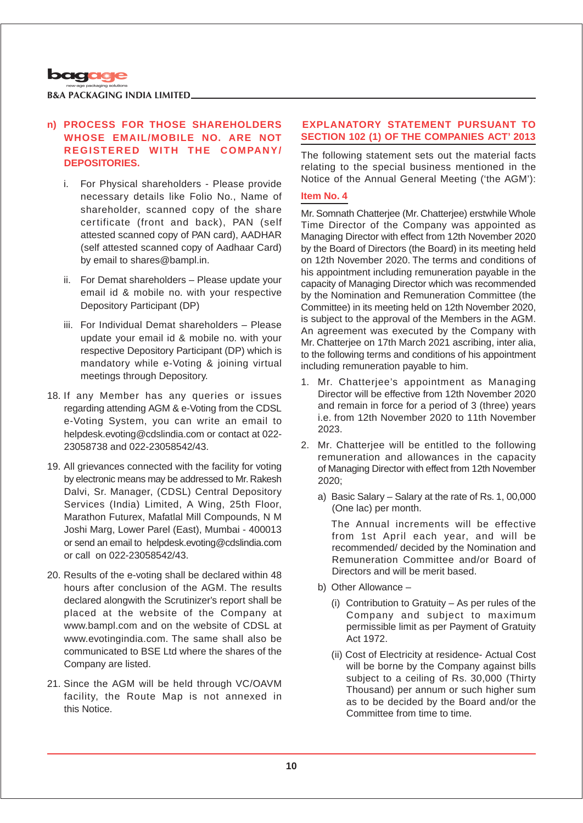

## **n) PROCESS FOR THOSE SHAREHOLDERS WHOSE EMAIL/MOBILE NO. ARE NOT REGISTERED WITH THE COMPANY/ DEPOSITORIES.**

- i. For Physical shareholders Please provide necessary details like Folio No., Name of shareholder, scanned copy of the share certificate (front and back), PAN (self attested scanned copy of PAN card), AADHAR (self attested scanned copy of Aadhaar Card) by email to shares@bampl.in.
- ii. For Demat shareholders Please update your email id & mobile no. with your respective Depository Participant (DP)
- iii. For Individual Demat shareholders Please update your email id & mobile no. with your respective Depository Participant (DP) which is mandatory while e-Voting & joining virtual meetings through Depository.
- 18. If any Member has any queries or issues regarding attending AGM & e-Voting from the CDSL e-Voting System, you can write an email to helpdesk.evoting@cdslindia.com or contact at 022- 23058738 and 022-23058542/43.
- 19. All grievances connected with the facility for voting by electronic means may be addressed to Mr. Rakesh Dalvi, Sr. Manager, (CDSL) Central Depository Services (India) Limited, A Wing, 25th Floor, Marathon Futurex, Mafatlal Mill Compounds, N M Joshi Marg, Lower Parel (East), Mumbai - 400013 or send an email to helpdesk.evoting@cdslindia.com or call on 022-23058542/43.
- 20. Results of the e-voting shall be declared within 48 hours after conclusion of the AGM. The results declared alongwith the Scrutinizer's report shall be placed at the website of the Company at www.bampl.com and on the website of CDSL at www.evotingindia.com. The same shall also be communicated to BSE Ltd where the shares of the Company are listed.
- 21. Since the AGM will be held through VC/OAVM facility, the Route Map is not annexed in this Notice.

## **EXPLANATORY STATEMENT PURSUANT TO SECTION 102 (1) OF THE COMPANIES ACT' 2013**

The following statement sets out the material facts relating to the special business mentioned in the Notice of the Annual General Meeting ('the AGM'):

## **Item No. 4**

Mr. Somnath Chatterjee (Mr. Chatterjee) erstwhile Whole Time Director of the Company was appointed as Managing Director with effect from 12th November 2020 by the Board of Directors (the Board) in its meeting held on 12th November 2020. The terms and conditions of his appointment including remuneration payable in the capacity of Managing Director which was recommended by the Nomination and Remuneration Committee (the Committee) in its meeting held on 12th November 2020, is subject to the approval of the Members in the AGM. An agreement was executed by the Company with Mr. Chatterjee on 17th March 2021 ascribing, inter alia, to the following terms and conditions of his appointment including remuneration payable to him.

- 1. Mr. Chatterjee's appointment as Managing Director will be effective from 12th November 2020 and remain in force for a period of 3 (three) years i.e. from 12th November 2020 to 11th November 2023.
- 2. Mr. Chatterjee will be entitled to the following remuneration and allowances in the capacity of Managing Director with effect from 12th November 2020;
	- a) Basic Salary Salary at the rate of Rs. 1, 00,000 (One lac) per month.

The Annual increments will be effective from 1st April each year, and will be recommended/ decided by the Nomination and Remuneration Committee and/or Board of Directors and will be merit based.

- b) Other Allowance
	- (i) Contribution to Gratuity As per rules of the Company and subject to maximum permissible limit as per Payment of Gratuity Act 1972.
	- (ii) Cost of Electricity at residence- Actual Cost will be borne by the Company against bills subject to a ceiling of Rs. 30,000 (Thirty Thousand) per annum or such higher sum as to be decided by the Board and/or the Committee from time to time.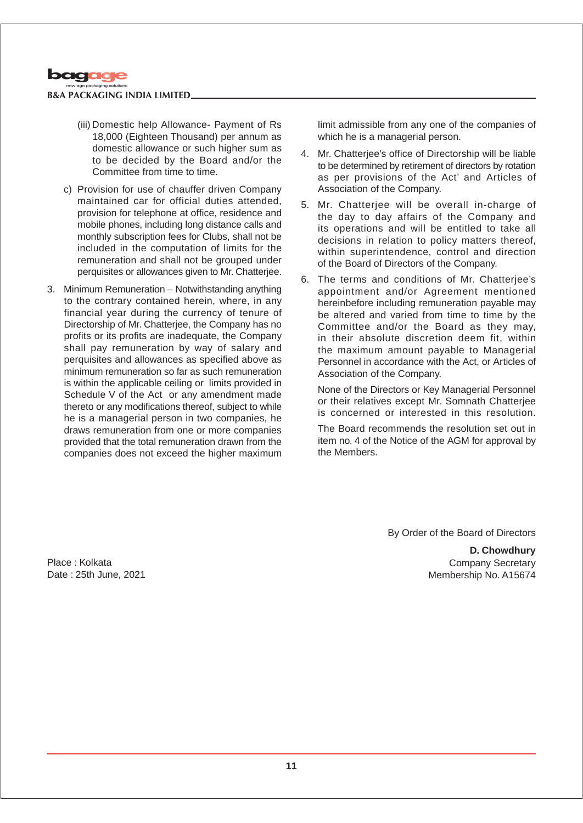

- (iii) Domestic help Allowance- Payment of Rs 18,000 (Eighteen Thousand) per annum as domestic allowance or such higher sum as to be decided by the Board and/or the Committee from time to time.
- c) Provision for use of chauffer driven Company maintained car for official duties attended, provision for telephone at office, residence and mobile phones, including long distance calls and monthly subscription fees for Clubs, shall not be included in the computation of limits for the remuneration and shall not be grouped under perquisites or allowances given to Mr. Chatterjee.
- 3. Minimum Remuneration Notwithstanding anything to the contrary contained herein, where, in any financial year during the currency of tenure of Directorship of Mr. Chatterjee, the Company has no profits or its profits are inadequate, the Company shall pay remuneration by way of salary and perquisites and allowances as specified above as minimum remuneration so far as such remuneration is within the applicable ceiling or limits provided in Schedule V of the Act or any amendment made thereto or any modifications thereof, subject to while he is a managerial person in two companies, he draws remuneration from one or more companies provided that the total remuneration drawn from the companies does not exceed the higher maximum

limit admissible from any one of the companies of which he is a managerial person.

- 4. Mr. Chatterjee's office of Directorship will be liable to be determined by retirement of directors by rotation as per provisions of the Act' and Articles of Association of the Company.
- 5. Mr. Chatterjee will be overall in-charge of the day to day affairs of the Company and its operations and will be entitled to take all decisions in relation to policy matters thereof, within superintendence, control and direction of the Board of Directors of the Company.
- 6. The terms and conditions of Mr. Chatterjee's appointment and/or Agreement mentioned hereinbefore including remuneration payable may be altered and varied from time to time by the Committee and/or the Board as they may, in their absolute discretion deem fit, within the maximum amount payable to Managerial Personnel in accordance with the Act, or Articles of Association of the Company.

None of the Directors or Key Managerial Personnel or their relatives except Mr. Somnath Chatterjee is concerned or interested in this resolution.

The Board recommends the resolution set out in item no. 4 of the Notice of the AGM for approval by the Members.

By Order of the Board of Directors

**D. Chowdhury** Company Secretary Membership No. A15674

Place : Kolkata Date : 25th June, 2021